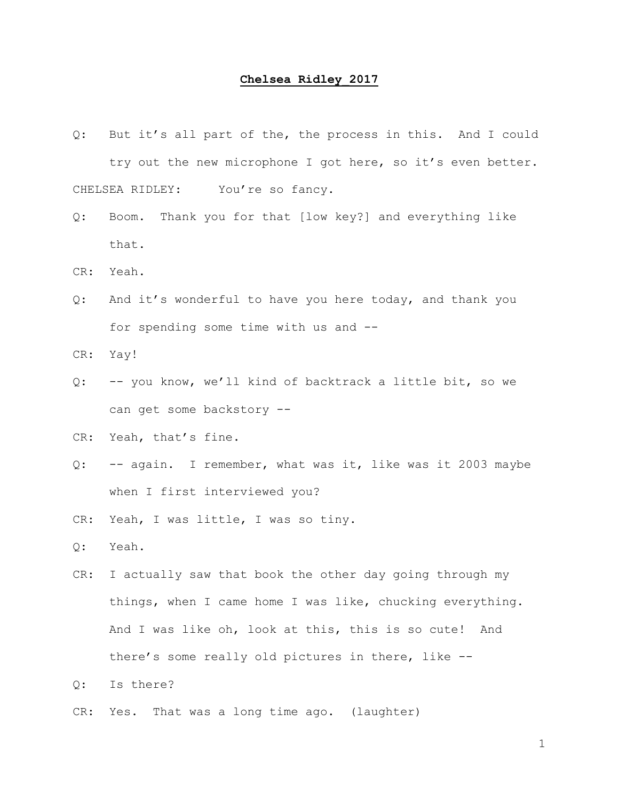## **Chelsea Ridley\_2017**

- Q: But it's all part of the, the process in this. And I could try out the new microphone I got here, so it's even better. CHELSEA RIDLEY: You're so fancy.
- Q: Boom. Thank you for that [low key?] and everything like that.
- CR: Yeah.
- Q: And it's wonderful to have you here today, and thank you for spending some time with us and --
- CR: Yay!
- Q: -- you know, we'll kind of backtrack a little bit, so we can get some backstory --
- CR: Yeah, that's fine.
- Q: -- again. I remember, what was it, like was it 2003 maybe when I first interviewed you?
- CR: Yeah, I was little, I was so tiny.
- Q: Yeah.
- CR: I actually saw that book the other day going through my things, when I came home I was like, chucking everything. And I was like oh, look at this, this is so cute! And there's some really old pictures in there, like --
- Q: Is there?
- CR: Yes. That was a long time ago. (laughter)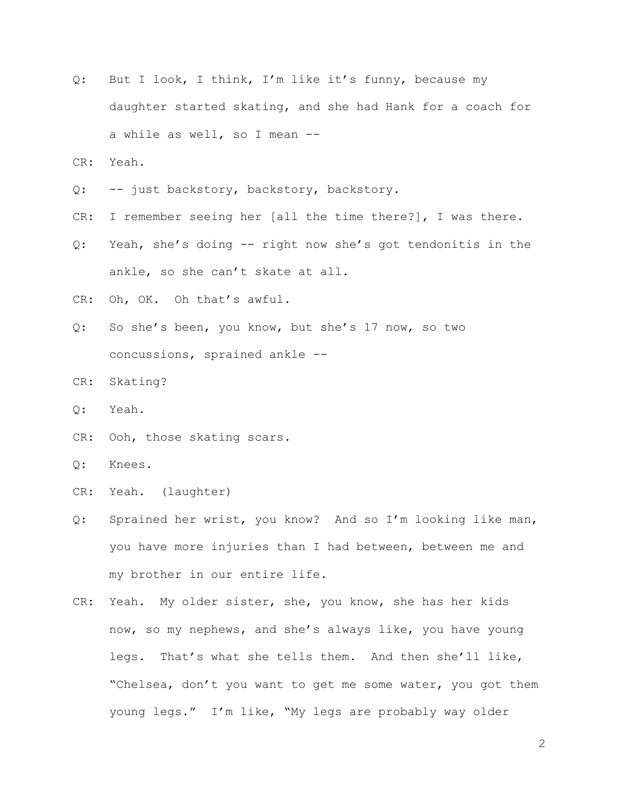- Q: But I look, I think, I'm like it's funny, because my daughter started skating, and she had Hank for a coach for a while as well, so I mean --
- CR: Yeah.
- Q: -- just backstory, backstory, backstory.
- CR: I remember seeing her [all the time there?], I was there.
- Q: Yeah, she's doing -- right now she's got tendonitis in the ankle, so she can't skate at all.
- CR: Oh, OK. Oh that's awful.
- Q: So she's been, you know, but she's 17 now, so two concussions, sprained ankle --
- CR: Skating?
- Q: Yeah.
- CR: Ooh, those skating scars.
- Q: Knees.
- CR: Yeah. (laughter)
- Q: Sprained her wrist, you know? And so I'm looking like man, you have more injuries than I had between, between me and my brother in our entire life.
- CR: Yeah. My older sister, she, you know, she has her kids now, so my nephews, and she's always like, you have young legs. That's what she tells them. And then she'll like, "Chelsea, don't you want to get me some water, you got them young legs." I'm like, "My legs are probably way older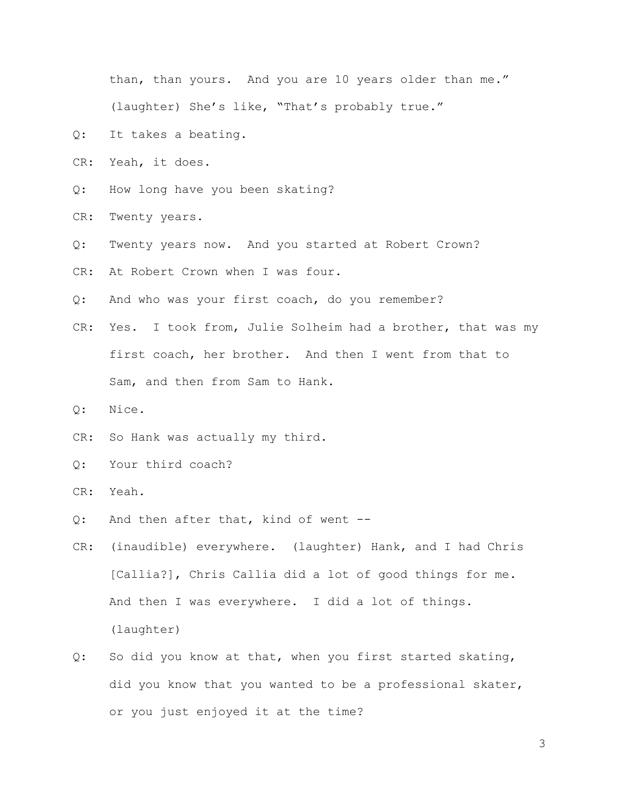than, than yours. And you are 10 years older than me." (laughter) She's like, "That's probably true."

- Q: It takes a beating.
- CR: Yeah, it does.
- Q: How long have you been skating?
- CR: Twenty years.
- Q: Twenty years now. And you started at Robert Crown?
- CR: At Robert Crown when I was four.
- Q: And who was your first coach, do you remember?
- CR: Yes. I took from, Julie Solheim had a brother, that was my first coach, her brother. And then I went from that to Sam, and then from Sam to Hank.
- Q: Nice.
- CR: So Hank was actually my third.
- Q: Your third coach?
- CR: Yeah.
- Q: And then after that, kind of went --
- CR: (inaudible) everywhere. (laughter) Hank, and I had Chris [Callia?], Chris Callia did a lot of good things for me. And then I was everywhere. I did a lot of things. (laughter)
- Q: So did you know at that, when you first started skating, did you know that you wanted to be a professional skater, or you just enjoyed it at the time?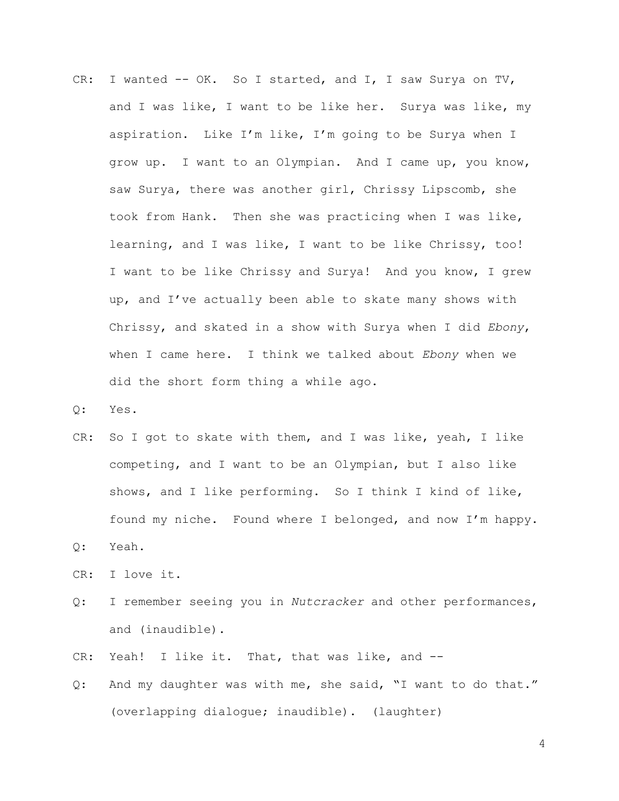- CR: I wanted -- OK. So I started, and I, I saw Surya on TV, and I was like, I want to be like her. Surya was like, my aspiration. Like I'm like, I'm going to be Surya when I grow up. I want to an Olympian. And I came up, you know, saw Surya, there was another girl, Chrissy Lipscomb, she took from Hank. Then she was practicing when I was like, learning, and I was like, I want to be like Chrissy, too! I want to be like Chrissy and Surya! And you know, I grew up, and I've actually been able to skate many shows with Chrissy, and skated in a show with Surya when I did *Ebony*, when I came here. I think we talked about *Ebony* when we did the short form thing a while ago.
- Q: Yes.
- CR: So I got to skate with them, and I was like, yeah, I like competing, and I want to be an Olympian, but I also like shows, and I like performing. So I think I kind of like, found my niche. Found where I belonged, and now I'm happy.
- Q: Yeah.
- CR: I love it.
- Q: I remember seeing you in *Nutcracker* and other performances, and (inaudible).
- CR: Yeah! I like it. That, that was like, and --
- Q: And my daughter was with me, she said, "I want to do that." (overlapping dialogue; inaudible). (laughter)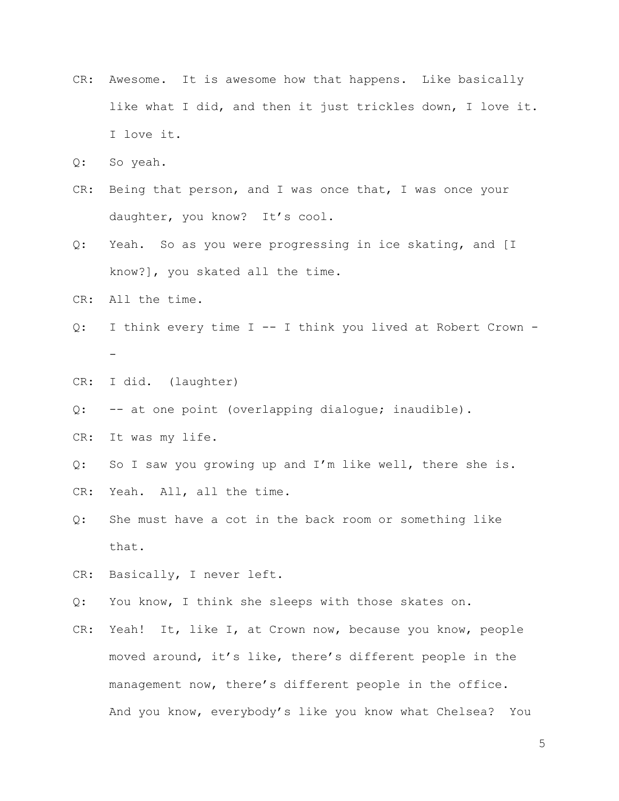- CR: Awesome. It is awesome how that happens. Like basically like what I did, and then it just trickles down, I love it. I love it.
- Q: So yeah.
- CR: Being that person, and I was once that, I was once your daughter, you know? It's cool.
- Q: Yeah. So as you were progressing in ice skating, and [I know?], you skated all the time.
- CR: All the time.
- Q: I think every time I -- I think you lived at Robert Crown -
- CR: I did. (laughter)
- Q: -- at one point (overlapping dialogue; inaudible).
- CR: It was my life.
- Q: So I saw you growing up and I'm like well, there she is.
- CR: Yeah. All, all the time.
- Q: She must have a cot in the back room or something like that.
- CR: Basically, I never left.
- Q: You know, I think she sleeps with those skates on.
- CR: Yeah! It, like I, at Crown now, because you know, people moved around, it's like, there's different people in the management now, there's different people in the office. And you know, everybody's like you know what Chelsea? You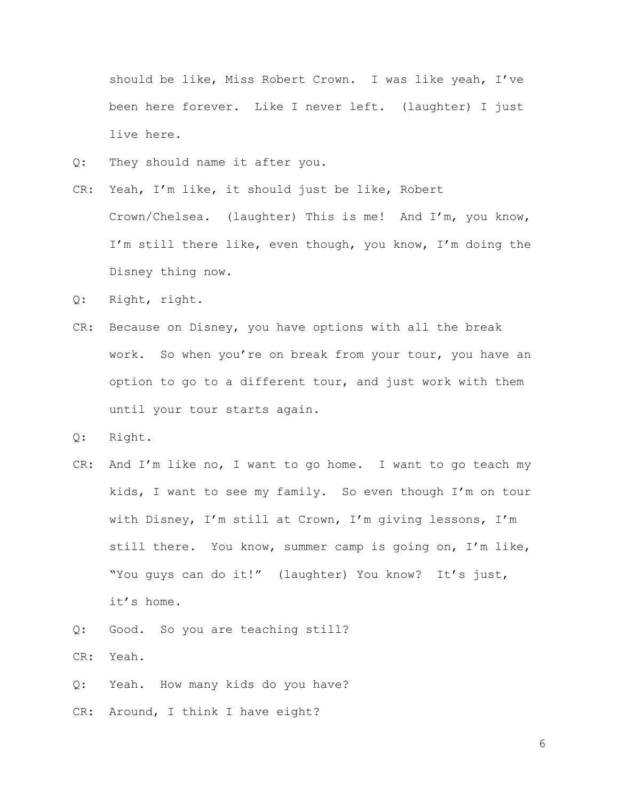should be like, Miss Robert Crown. I was like yeah, I've been here forever. Like I never left. (laughter) I just live here.

- Q: They should name it after you.
- CR: Yeah, I'm like, it should just be like, Robert Crown/Chelsea. (laughter) This is me! And I'm, you know, I'm still there like, even though, you know, I'm doing the Disney thing now.
- Q: Right, right.
- CR: Because on Disney, you have options with all the break work. So when you're on break from your tour, you have an option to go to a different tour, and just work with them until your tour starts again.
- Q: Right.
- CR: And I'm like no, I want to go home. I want to go teach my kids, I want to see my family. So even though I'm on tour with Disney, I'm still at Crown, I'm giving lessons, I'm still there. You know, summer camp is going on, I'm like, "You guys can do it!" (laughter) You know? It's just, it's home.
- Q: Good. So you are teaching still?
- CR: Yeah.
- Q: Yeah. How many kids do you have?
- CR: Around, I think I have eight?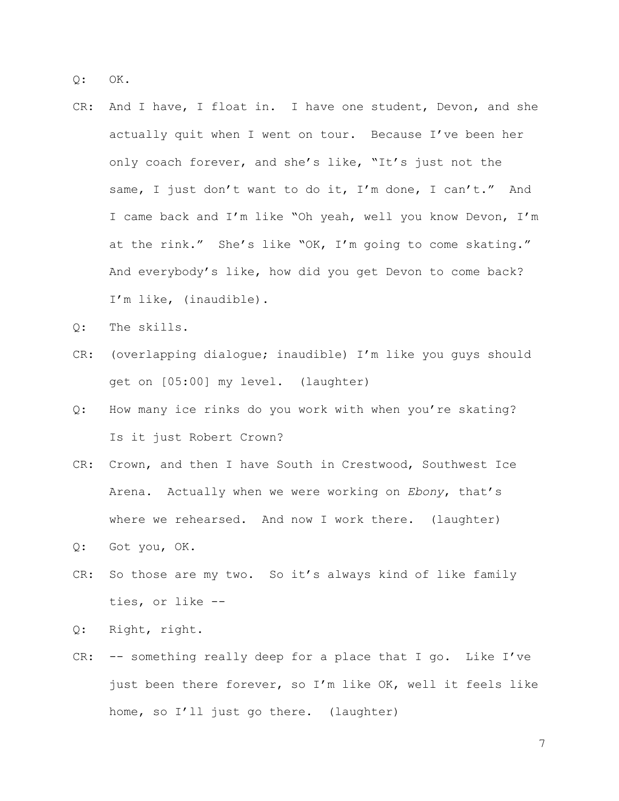Q: OK.

- CR: And I have, I float in. I have one student, Devon, and she actually quit when I went on tour. Because I've been her only coach forever, and she's like, "It's just not the same, I just don't want to do it, I'm done, I can't." And I came back and I'm like "Oh yeah, well you know Devon, I'm at the rink." She's like "OK, I'm going to come skating." And everybody's like, how did you get Devon to come back? I'm like, (inaudible).
- Q: The skills.
- CR: (overlapping dialogue; inaudible) I'm like you guys should get on [05:00] my level. (laughter)
- Q: How many ice rinks do you work with when you're skating? Is it just Robert Crown?
- CR: Crown, and then I have South in Crestwood, Southwest Ice Arena. Actually when we were working on *Ebony*, that's where we rehearsed. And now I work there. (laughter)
- Q: Got you, OK.
- CR: So those are my two. So it's always kind of like family ties, or like --
- Q: Right, right.
- CR: -- something really deep for a place that I go. Like I've just been there forever, so I'm like OK, well it feels like home, so I'll just go there. (laughter)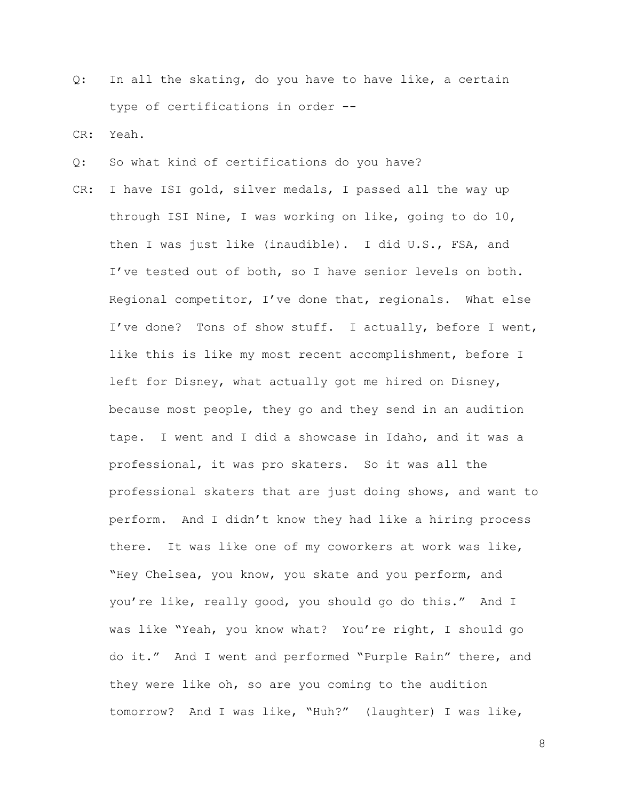Q: In all the skating, do you have to have like, a certain type of certifications in order --

CR: Yeah.

- Q: So what kind of certifications do you have?
- CR: I have ISI gold, silver medals, I passed all the way up through ISI Nine, I was working on like, going to do 10, then I was just like (inaudible). I did U.S., FSA, and I've tested out of both, so I have senior levels on both. Regional competitor, I've done that, regionals. What else I've done? Tons of show stuff. I actually, before I went, like this is like my most recent accomplishment, before I left for Disney, what actually got me hired on Disney, because most people, they go and they send in an audition tape. I went and I did a showcase in Idaho, and it was a professional, it was pro skaters. So it was all the professional skaters that are just doing shows, and want to perform. And I didn't know they had like a hiring process there. It was like one of my coworkers at work was like, "Hey Chelsea, you know, you skate and you perform, and you're like, really good, you should go do this." And I was like "Yeah, you know what? You're right, I should go do it." And I went and performed "Purple Rain" there, and they were like oh, so are you coming to the audition tomorrow? And I was like, "Huh?" (laughter) I was like,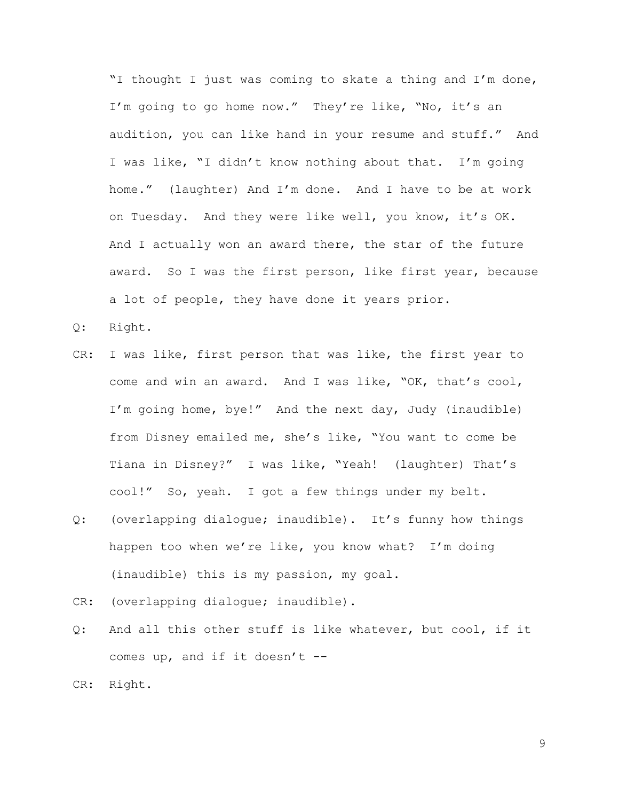"I thought I just was coming to skate a thing and I'm done, I'm going to go home now." They're like, "No, it's an audition, you can like hand in your resume and stuff." And I was like, "I didn't know nothing about that. I'm going home." (laughter) And I'm done. And I have to be at work on Tuesday. And they were like well, you know, it's OK. And I actually won an award there, the star of the future award. So I was the first person, like first year, because a lot of people, they have done it years prior.

- Q: Right.
- CR: I was like, first person that was like, the first year to come and win an award. And I was like, "OK, that's cool, I'm going home, bye!" And the next day, Judy (inaudible) from Disney emailed me, she's like, "You want to come be Tiana in Disney?" I was like, "Yeah! (laughter) That's cool!" So, yeah. I got a few things under my belt.
- Q: (overlapping dialogue; inaudible). It's funny how things happen too when we're like, you know what? I'm doing (inaudible) this is my passion, my goal.
- CR: (overlapping dialogue; inaudible).
- Q: And all this other stuff is like whatever, but cool, if it comes up, and if it doesn't --
- CR: Right.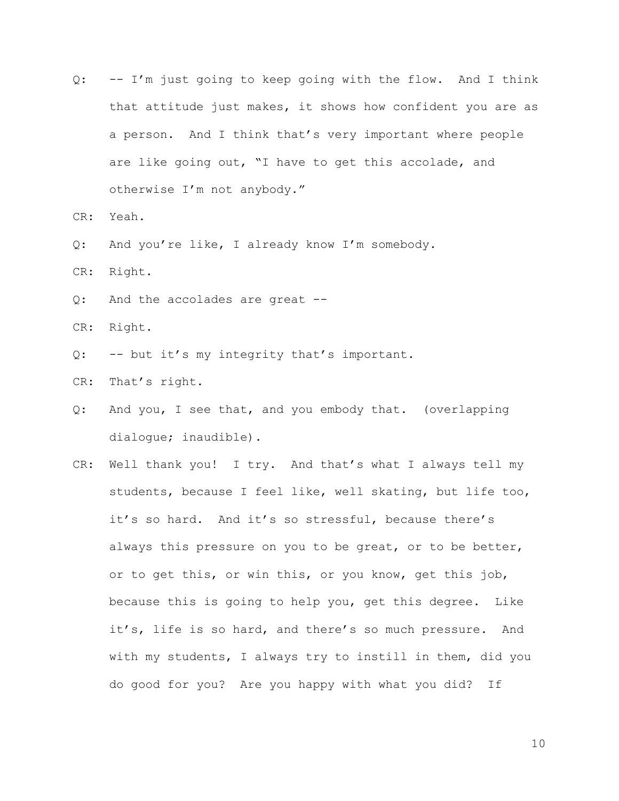- Q: -- I'm just going to keep going with the flow. And I think that attitude just makes, it shows how confident you are as a person. And I think that's very important where people are like going out, "I have to get this accolade, and otherwise I'm not anybody."
- CR: Yeah.
- Q: And you're like, I already know I'm somebody.
- CR: Right.
- Q: And the accolades are great --
- CR: Right.
- Q: -- but it's my integrity that's important.
- CR: That's right.
- Q: And you, I see that, and you embody that. (overlapping dialogue; inaudible).
- CR: Well thank you! I try. And that's what I always tell my students, because I feel like, well skating, but life too, it's so hard. And it's so stressful, because there's always this pressure on you to be great, or to be better, or to get this, or win this, or you know, get this job, because this is going to help you, get this degree. Like it's, life is so hard, and there's so much pressure. And with my students, I always try to instill in them, did you do good for you? Are you happy with what you did? If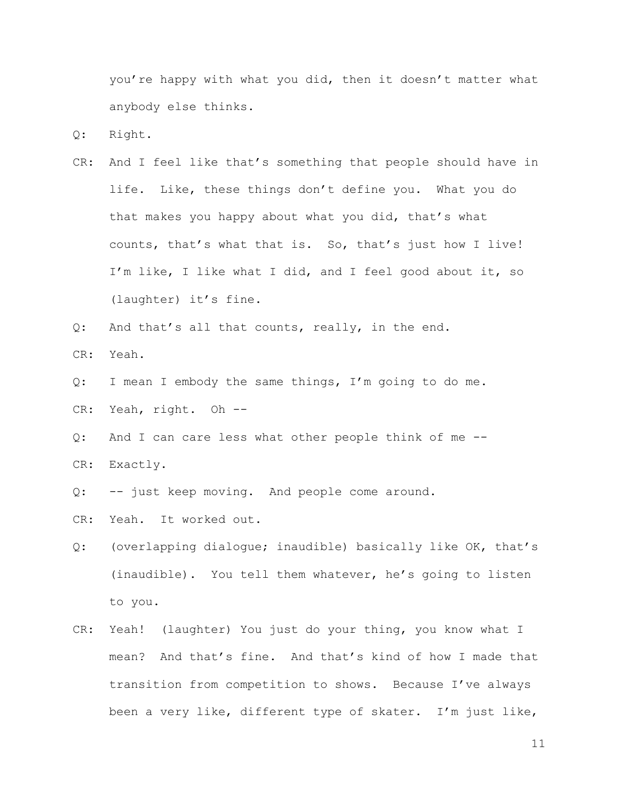you're happy with what you did, then it doesn't matter what anybody else thinks.

Q: Right.

CR: And I feel like that's something that people should have in life. Like, these things don't define you. What you do that makes you happy about what you did, that's what counts, that's what that is. So, that's just how I live! I'm like, I like what I did, and I feel good about it, so (laughter) it's fine.

Q: And that's all that counts, really, in the end. CR: Yeah.

- Q: I mean I embody the same things, I'm going to do me.
- CR: Yeah, right. Oh --
- Q: And I can care less what other people think of me -- CR: Exactly.
- Q: -- just keep moving. And people come around.
- CR: Yeah. It worked out.
- Q: (overlapping dialogue; inaudible) basically like OK, that's (inaudible). You tell them whatever, he's going to listen to you.
- CR: Yeah! (laughter) You just do your thing, you know what I mean? And that's fine. And that's kind of how I made that transition from competition to shows. Because I've always been a very like, different type of skater. I'm just like,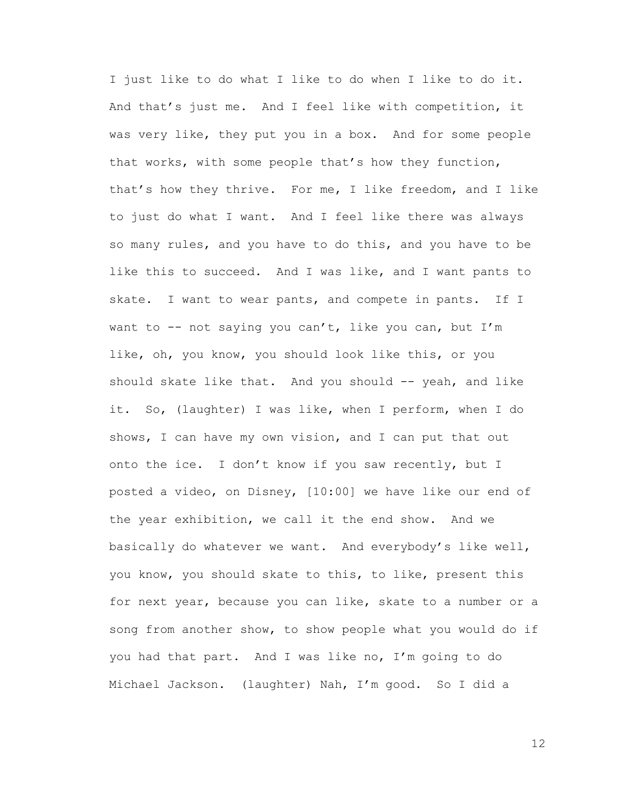I just like to do what I like to do when I like to do it. And that's just me. And I feel like with competition, it was very like, they put you in a box. And for some people that works, with some people that's how they function, that's how they thrive. For me, I like freedom, and I like to just do what I want. And I feel like there was always so many rules, and you have to do this, and you have to be like this to succeed. And I was like, and I want pants to skate. I want to wear pants, and compete in pants. If I want to  $-$ - not saying you can't, like you can, but I'm like, oh, you know, you should look like this, or you should skate like that. And you should -- yeah, and like it. So, (laughter) I was like, when I perform, when I do shows, I can have my own vision, and I can put that out onto the ice. I don't know if you saw recently, but I posted a video, on Disney, [10:00] we have like our end of the year exhibition, we call it the end show. And we basically do whatever we want. And everybody's like well, you know, you should skate to this, to like, present this for next year, because you can like, skate to a number or a song from another show, to show people what you would do if you had that part. And I was like no, I'm going to do Michael Jackson. (laughter) Nah, I'm good. So I did a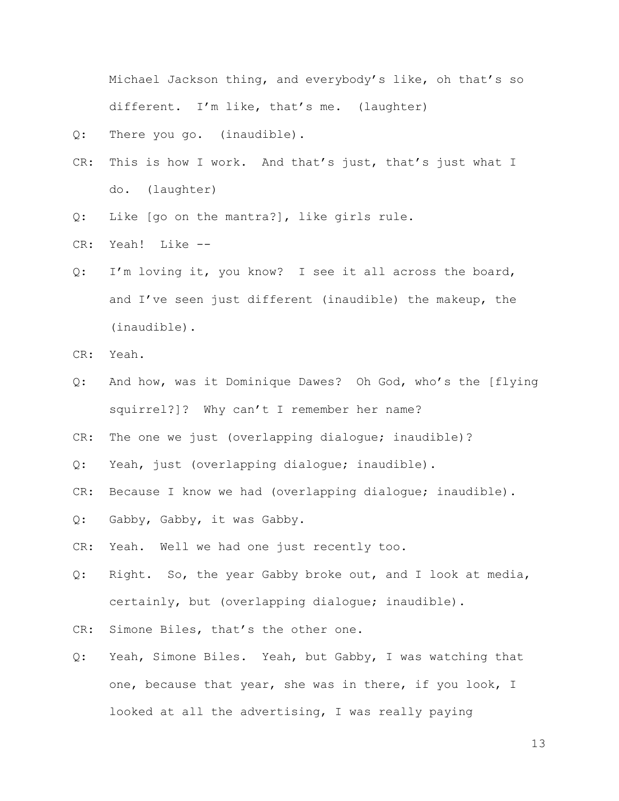Michael Jackson thing, and everybody's like, oh that's so different. I'm like, that's me. (laughter)

- Q: There you go. (inaudible).
- CR: This is how I work. And that's just, that's just what I do. (laughter)
- Q: Like [go on the mantra?], like girls rule.
- CR: Yeah! Like --
- Q: I'm loving it, you know? I see it all across the board, and I've seen just different (inaudible) the makeup, the (inaudible).
- CR: Yeah.
- Q: And how, was it Dominique Dawes? Oh God, who's the [flying squirrel?]? Why can't I remember her name?
- CR: The one we just (overlapping dialogue; inaudible)?
- Q: Yeah, just (overlapping dialogue; inaudible).
- CR: Because I know we had (overlapping dialogue; inaudible).
- Q: Gabby, Gabby, it was Gabby.
- CR: Yeah. Well we had one just recently too.
- Q: Right. So, the year Gabby broke out, and I look at media, certainly, but (overlapping dialogue; inaudible).
- CR: Simone Biles, that's the other one.
- Q: Yeah, Simone Biles. Yeah, but Gabby, I was watching that one, because that year, she was in there, if you look, I looked at all the advertising, I was really paying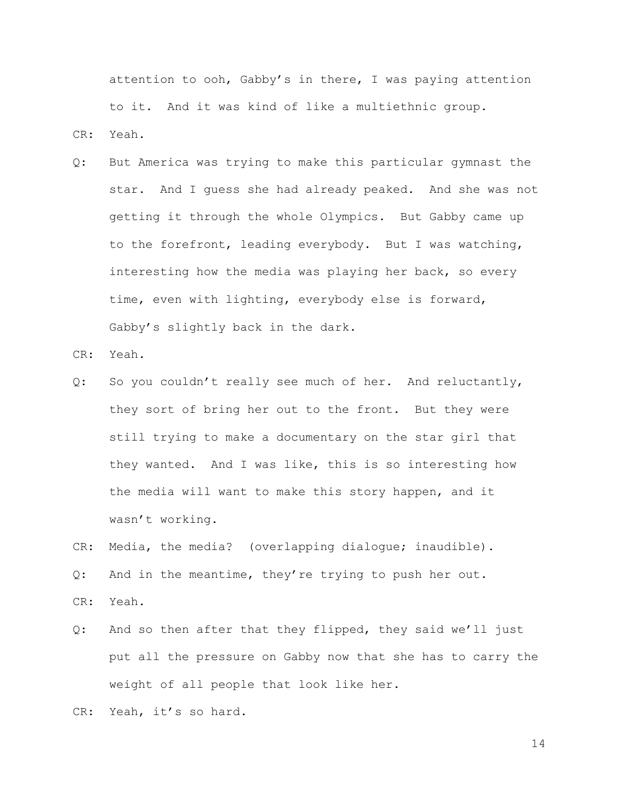attention to ooh, Gabby's in there, I was paying attention to it. And it was kind of like a multiethnic group.

CR: Yeah.

Q: But America was trying to make this particular gymnast the star. And I guess she had already peaked. And she was not getting it through the whole Olympics. But Gabby came up to the forefront, leading everybody. But I was watching, interesting how the media was playing her back, so every time, even with lighting, everybody else is forward, Gabby's slightly back in the dark.

CR: Yeah.

Q: So you couldn't really see much of her. And reluctantly, they sort of bring her out to the front. But they were still trying to make a documentary on the star girl that they wanted. And I was like, this is so interesting how the media will want to make this story happen, and it wasn't working.

CR: Media, the media? (overlapping dialogue; inaudible).

Q: And in the meantime, they're trying to push her out. CR: Yeah.

Q: And so then after that they flipped, they said we'll just put all the pressure on Gabby now that she has to carry the weight of all people that look like her.

CR: Yeah, it's so hard.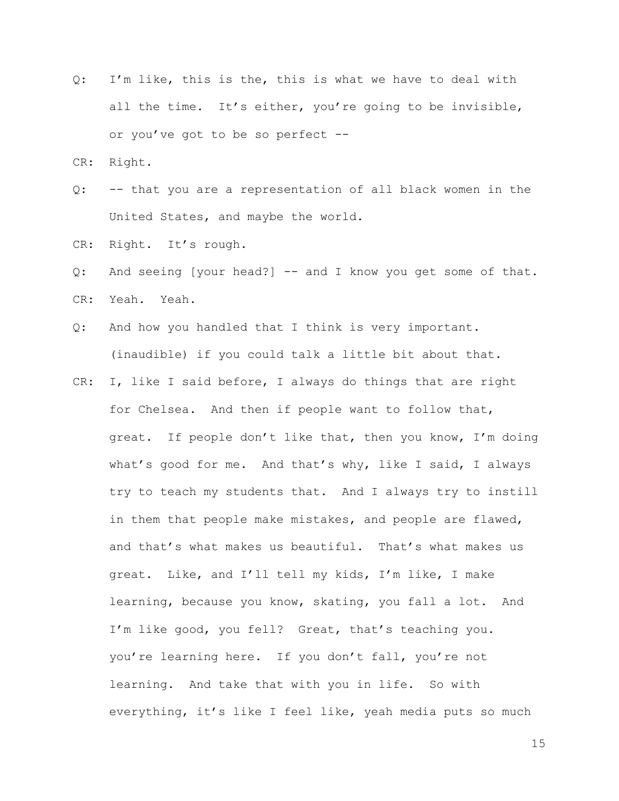Q: I'm like, this is the, this is what we have to deal with all the time. It's either, you're going to be invisible, or you've got to be so perfect --

CR: Right.

- Q: -- that you are a representation of all black women in the United States, and maybe the world.
- CR: Right. It's rough.
- Q: And seeing [your head?] -- and I know you get some of that. CR: Yeah. Yeah.
- Q: And how you handled that I think is very important. (inaudible) if you could talk a little bit about that.
- CR: I, like I said before, I always do things that are right for Chelsea. And then if people want to follow that, great. If people don't like that, then you know, I'm doing what's good for me. And that's why, like I said, I always try to teach my students that. And I always try to instill in them that people make mistakes, and people are flawed, and that's what makes us beautiful. That's what makes us great. Like, and I'll tell my kids, I'm like, I make learning, because you know, skating, you fall a lot. And I'm like good, you fell? Great, that's teaching you. you're learning here. If you don't fall, you're not learning. And take that with you in life. So with everything, it's like I feel like, yeah media puts so much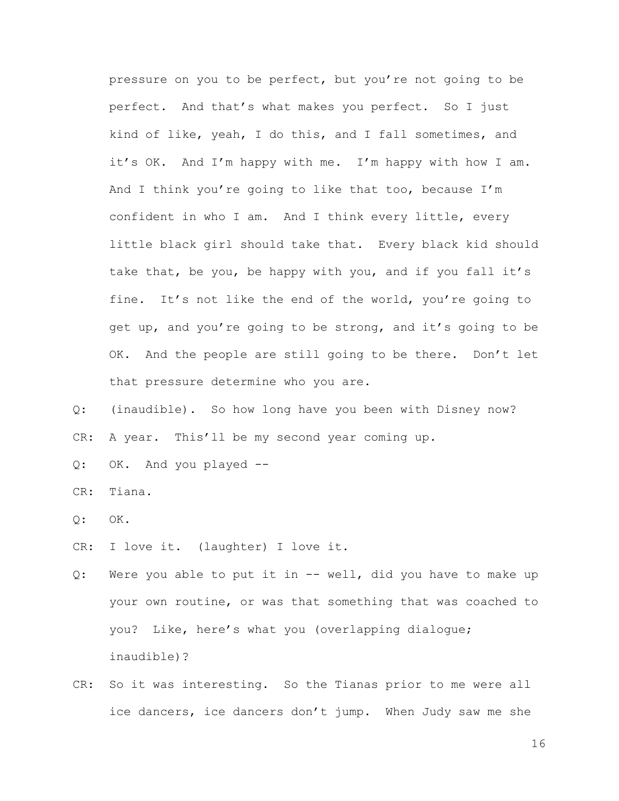pressure on you to be perfect, but you're not going to be perfect. And that's what makes you perfect. So I just kind of like, yeah, I do this, and I fall sometimes, and it's OK. And I'm happy with me. I'm happy with how I am. And I think you're going to like that too, because I'm confident in who I am. And I think every little, every little black girl should take that. Every black kid should take that, be you, be happy with you, and if you fall it's fine. It's not like the end of the world, you're going to get up, and you're going to be strong, and it's going to be OK. And the people are still going to be there. Don't let that pressure determine who you are.

Q: (inaudible). So how long have you been with Disney now? CR: A year. This'll be my second year coming up.

Q: OK. And you played --

CR: Tiana.

 $Q:$  OK.

CR: I love it. (laughter) I love it.

Q: Were you able to put it in -- well, did you have to make up your own routine, or was that something that was coached to you? Like, here's what you (overlapping dialogue; inaudible)?

CR: So it was interesting. So the Tianas prior to me were all ice dancers, ice dancers don't jump. When Judy saw me she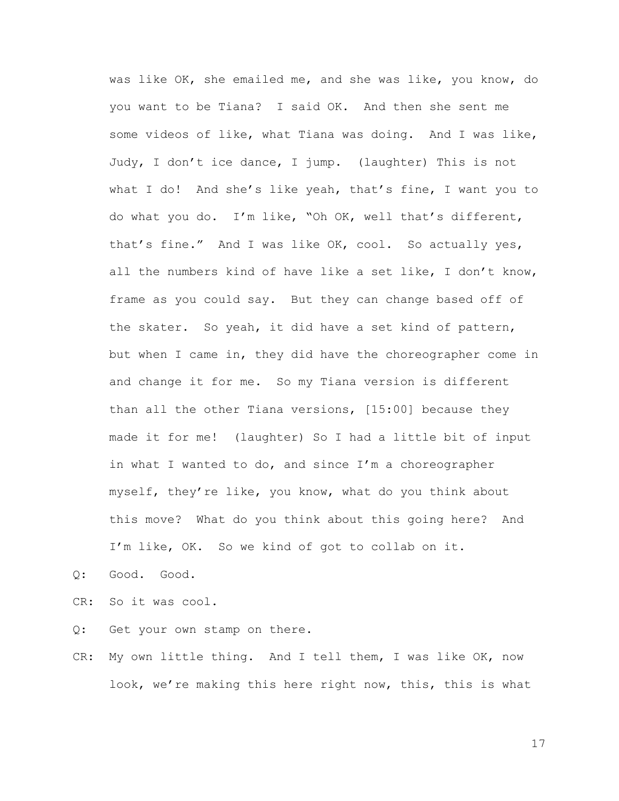was like OK, she emailed me, and she was like, you know, do you want to be Tiana? I said OK. And then she sent me some videos of like, what Tiana was doing. And I was like, Judy, I don't ice dance, I jump. (laughter) This is not what I do! And she's like yeah, that's fine, I want you to do what you do. I'm like, "Oh OK, well that's different, that's fine." And I was like OK, cool. So actually yes, all the numbers kind of have like a set like, I don't know, frame as you could say. But they can change based off of the skater. So yeah, it did have a set kind of pattern, but when I came in, they did have the choreographer come in and change it for me. So my Tiana version is different than all the other Tiana versions, [15:00] because they made it for me! (laughter) So I had a little bit of input in what I wanted to do, and since I'm a choreographer myself, they're like, you know, what do you think about this move? What do you think about this going here? And I'm like, OK. So we kind of got to collab on it.

Q: Good. Good.

CR: So it was cool.

Q: Get your own stamp on there.

CR: My own little thing. And I tell them, I was like OK, now look, we're making this here right now, this, this is what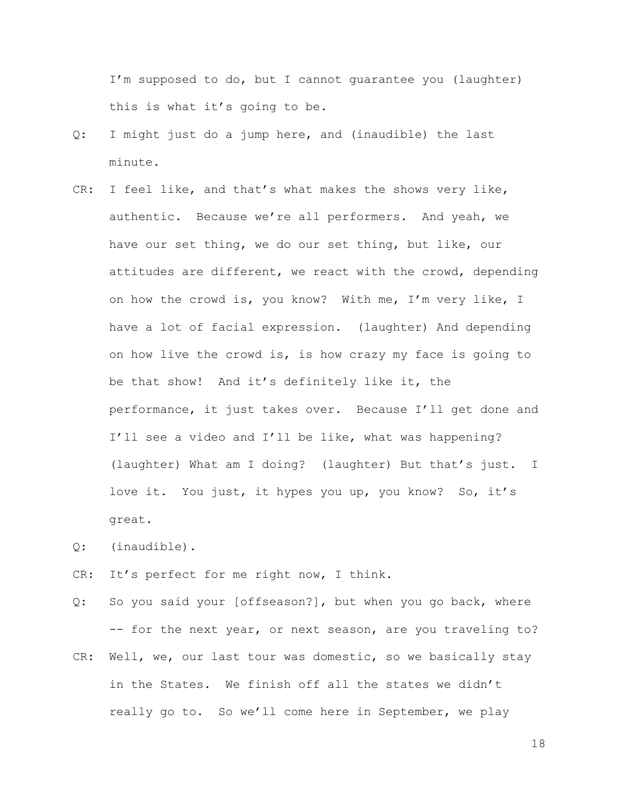I'm supposed to do, but I cannot guarantee you (laughter) this is what it's going to be.

- Q: I might just do a jump here, and (inaudible) the last minute.
- CR: I feel like, and that's what makes the shows very like, authentic. Because we're all performers. And yeah, we have our set thing, we do our set thing, but like, our attitudes are different, we react with the crowd, depending on how the crowd is, you know? With me, I'm very like, I have a lot of facial expression. (laughter) And depending on how live the crowd is, is how crazy my face is going to be that show! And it's definitely like it, the performance, it just takes over. Because I'll get done and I'll see a video and I'll be like, what was happening? (laughter) What am I doing? (laughter) But that's just. I love it. You just, it hypes you up, you know? So, it's great.
- Q: (inaudible).
- CR: It's perfect for me right now, I think.
- Q: So you said your [offseason?], but when you go back, where -- for the next year, or next season, are you traveling to?
- CR: Well, we, our last tour was domestic, so we basically stay in the States. We finish off all the states we didn't really go to. So we'll come here in September, we play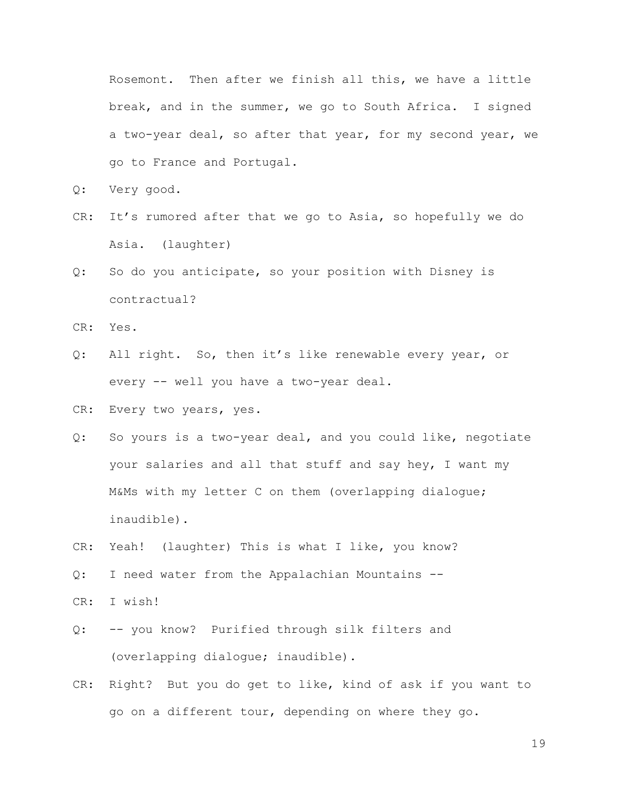Rosemont. Then after we finish all this, we have a little break, and in the summer, we go to South Africa. I signed a two-year deal, so after that year, for my second year, we go to France and Portugal.

- Q: Very good.
- CR: It's rumored after that we go to Asia, so hopefully we do Asia. (laughter)
- Q: So do you anticipate, so your position with Disney is contractual?
- CR: Yes.
- Q: All right. So, then it's like renewable every year, or every -- well you have a two-year deal.
- CR: Every two years, yes.
- Q: So yours is a two-year deal, and you could like, negotiate your salaries and all that stuff and say hey, I want my M&Ms with my letter C on them (overlapping dialogue; inaudible).
- CR: Yeah! (laughter) This is what I like, you know?
- Q: I need water from the Appalachian Mountains --
- CR: I wish!
- Q: -- you know? Purified through silk filters and (overlapping dialogue; inaudible).
- CR: Right? But you do get to like, kind of ask if you want to go on a different tour, depending on where they go.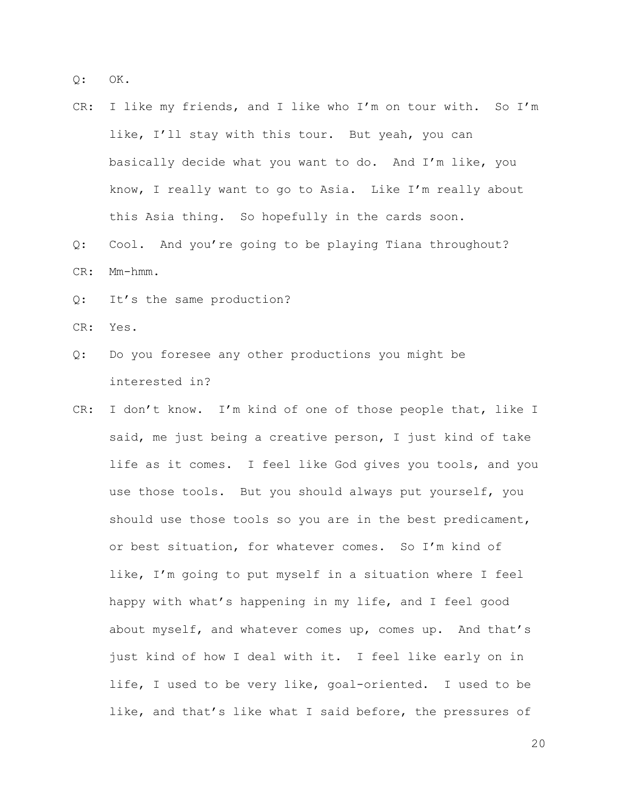Q: OK.

- CR: I like my friends, and I like who I'm on tour with. So I'm like, I'll stay with this tour. But yeah, you can basically decide what you want to do. And I'm like, you know, I really want to go to Asia. Like I'm really about this Asia thing. So hopefully in the cards soon.
- Q: Cool. And you're going to be playing Tiana throughout? CR: Mm-hmm.
- Q: It's the same production?
- CR: Yes.
- Q: Do you foresee any other productions you might be interested in?
- CR: I don't know. I'm kind of one of those people that, like I said, me just being a creative person, I just kind of take life as it comes. I feel like God gives you tools, and you use those tools. But you should always put yourself, you should use those tools so you are in the best predicament, or best situation, for whatever comes. So I'm kind of like, I'm going to put myself in a situation where I feel happy with what's happening in my life, and I feel good about myself, and whatever comes up, comes up. And that's just kind of how I deal with it. I feel like early on in life, I used to be very like, goal-oriented. I used to be like, and that's like what I said before, the pressures of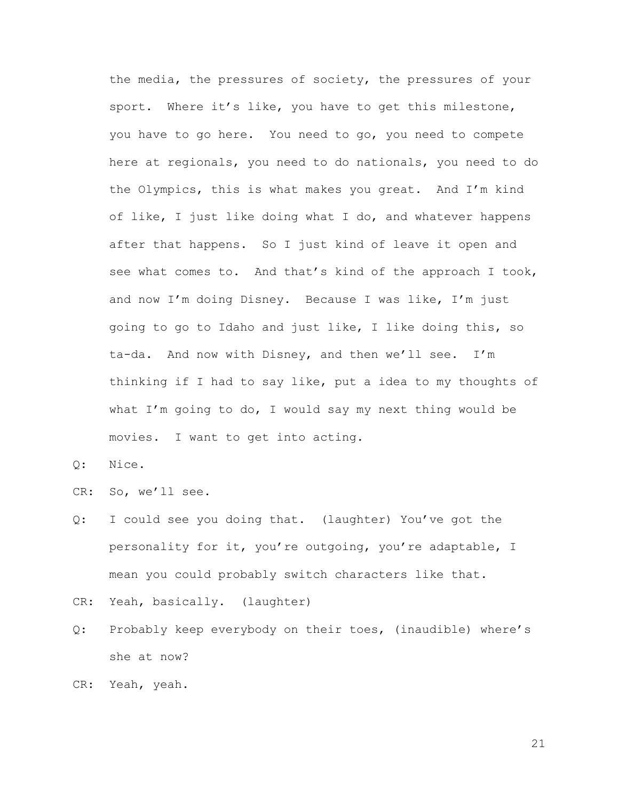the media, the pressures of society, the pressures of your sport. Where it's like, you have to get this milestone, you have to go here. You need to go, you need to compete here at regionals, you need to do nationals, you need to do the Olympics, this is what makes you great. And I'm kind of like, I just like doing what I do, and whatever happens after that happens. So I just kind of leave it open and see what comes to. And that's kind of the approach I took, and now I'm doing Disney. Because I was like, I'm just going to go to Idaho and just like, I like doing this, so ta-da. And now with Disney, and then we'll see. I'm thinking if I had to say like, put a idea to my thoughts of what I'm going to do, I would say my next thing would be movies. I want to get into acting.

Q: Nice.

CR: So, we'll see.

- Q: I could see you doing that. (laughter) You've got the personality for it, you're outgoing, you're adaptable, I mean you could probably switch characters like that.
- CR: Yeah, basically. (laughter)
- Q: Probably keep everybody on their toes, (inaudible) where's she at now?

CR: Yeah, yeah.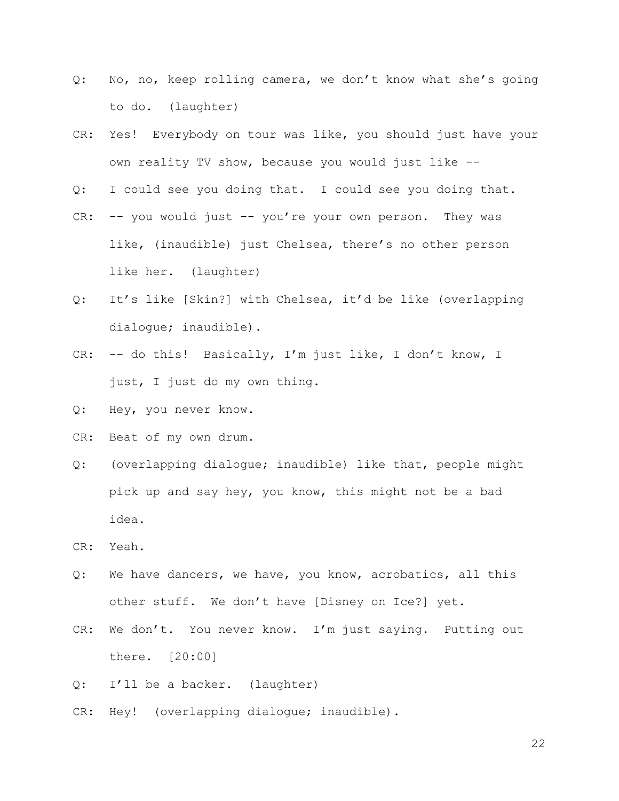- Q: No, no, keep rolling camera, we don't know what she's going to do. (laughter)
- CR: Yes! Everybody on tour was like, you should just have your own reality TV show, because you would just like --
- Q: I could see you doing that. I could see you doing that.
- CR: -- you would just -- you're your own person. They was like, (inaudible) just Chelsea, there's no other person like her. (laughter)
- Q: It's like [Skin?] with Chelsea, it'd be like (overlapping dialogue; inaudible).
- CR: -- do this! Basically, I'm just like, I don't know, I just, I just do my own thing.
- Q: Hey, you never know.
- CR: Beat of my own drum.
- Q: (overlapping dialogue; inaudible) like that, people might pick up and say hey, you know, this might not be a bad idea.

CR: Yeah.

- Q: We have dancers, we have, you know, acrobatics, all this other stuff. We don't have [Disney on Ice?] yet.
- CR: We don't. You never know. I'm just saying. Putting out there. [20:00]
- Q: I'll be a backer. (laughter)
- CR: Hey! (overlapping dialogue; inaudible).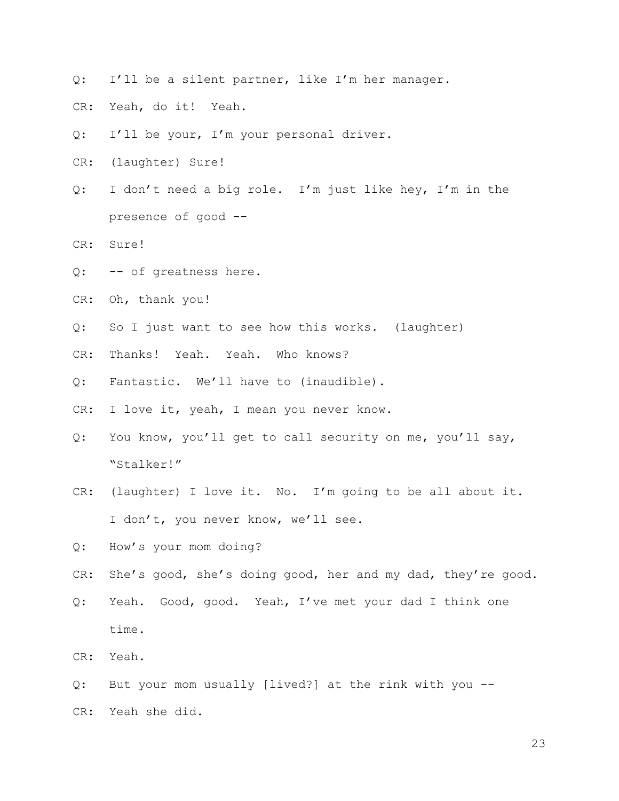- Q: I'll be a silent partner, like I'm her manager.
- CR: Yeah, do it! Yeah.
- Q: I'll be your, I'm your personal driver.
- CR: (laughter) Sure!
- Q: I don't need a big role. I'm just like hey, I'm in the presence of good --
- CR: Sure!
- Q: -- of greatness here.
- CR: Oh, thank you!
- Q: So I just want to see how this works. (laughter)
- CR: Thanks! Yeah. Yeah. Who knows?
- Q: Fantastic. We'll have to (inaudible).
- CR: I love it, yeah, I mean you never know.
- Q: You know, you'll get to call security on me, you'll say, "Stalker!"
- CR: (laughter) I love it. No. I'm going to be all about it. I don't, you never know, we'll see.
- Q: How's your mom doing?
- CR: She's good, she's doing good, her and my dad, they're good.
- Q: Yeah. Good, good. Yeah, I've met your dad I think one time.
- CR: Yeah.
- Q: But your mom usually [lived?] at the rink with you -- CR: Yeah she did.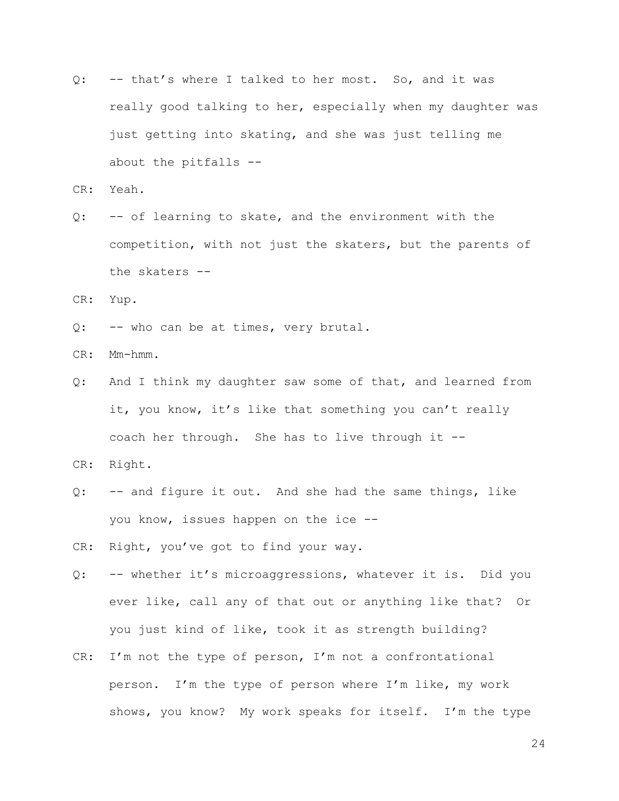Q: -- that's where I talked to her most. So, and it was really good talking to her, especially when my daughter was just getting into skating, and she was just telling me about the pitfalls --

CR: Yeah.

Q: -- of learning to skate, and the environment with the competition, with not just the skaters, but the parents of the skaters --

CR: Yup.

Q: -- who can be at times, very brutal.

CR: Mm-hmm.

Q: And I think my daughter saw some of that, and learned from it, you know, it's like that something you can't really coach her through. She has to live through it --

CR: Right.

- Q: -- and figure it out. And she had the same things, like you know, issues happen on the ice --
- CR: Right, you've got to find your way.
- Q: -- whether it's microaggressions, whatever it is. Did you ever like, call any of that out or anything like that? Or you just kind of like, took it as strength building?
- CR: I'm not the type of person, I'm not a confrontational person. I'm the type of person where I'm like, my work shows, you know? My work speaks for itself. I'm the type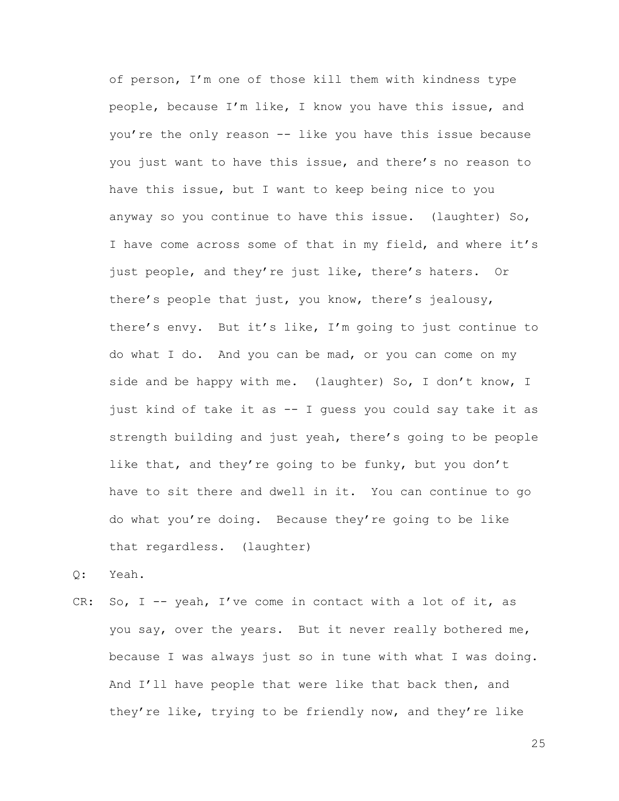of person, I'm one of those kill them with kindness type people, because I'm like, I know you have this issue, and you're the only reason -- like you have this issue because you just want to have this issue, and there's no reason to have this issue, but I want to keep being nice to you anyway so you continue to have this issue. (laughter) So, I have come across some of that in my field, and where it's just people, and they're just like, there's haters. Or there's people that just, you know, there's jealousy, there's envy. But it's like, I'm going to just continue to do what I do. And you can be mad, or you can come on my side and be happy with me. (laughter) So, I don't know, I just kind of take it as -- I guess you could say take it as strength building and just yeah, there's going to be people like that, and they're going to be funky, but you don't have to sit there and dwell in it. You can continue to go do what you're doing. Because they're going to be like that regardless. (laughter)

Q: Yeah.

CR: So,  $I - -$  yeah, I've come in contact with a lot of it, as you say, over the years. But it never really bothered me, because I was always just so in tune with what I was doing. And I'll have people that were like that back then, and they're like, trying to be friendly now, and they're like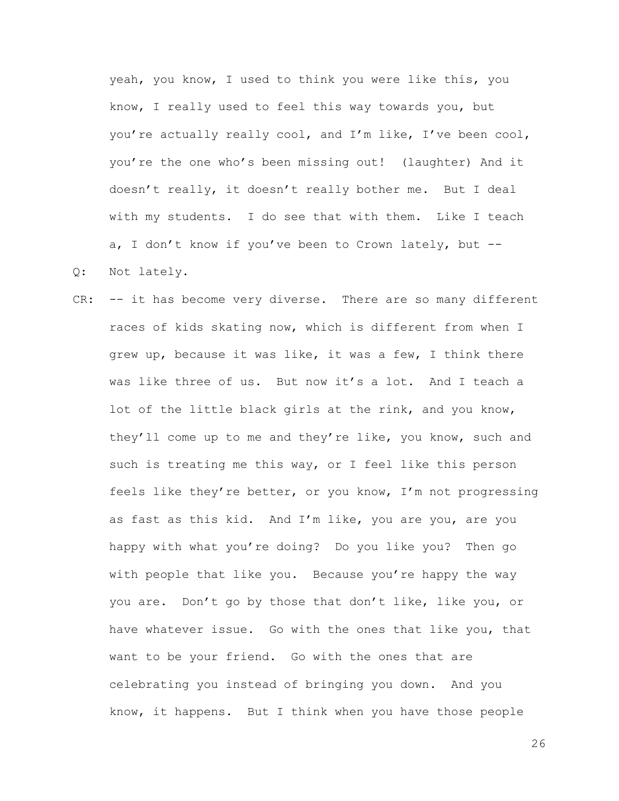yeah, you know, I used to think you were like this, you know, I really used to feel this way towards you, but you're actually really cool, and I'm like, I've been cool, you're the one who's been missing out! (laughter) And it doesn't really, it doesn't really bother me. But I deal with my students. I do see that with them. Like I teach a, I don't know if you've been to Crown lately, but -- Q: Not lately.

CR: -- it has become very diverse. There are so many different races of kids skating now, which is different from when I grew up, because it was like, it was a few, I think there was like three of us. But now it's a lot. And I teach a lot of the little black girls at the rink, and you know, they'll come up to me and they're like, you know, such and such is treating me this way, or I feel like this person feels like they're better, or you know, I'm not progressing as fast as this kid. And I'm like, you are you, are you happy with what you're doing? Do you like you? Then go with people that like you. Because you're happy the way you are. Don't go by those that don't like, like you, or have whatever issue. Go with the ones that like you, that want to be your friend. Go with the ones that are celebrating you instead of bringing you down. And you know, it happens. But I think when you have those people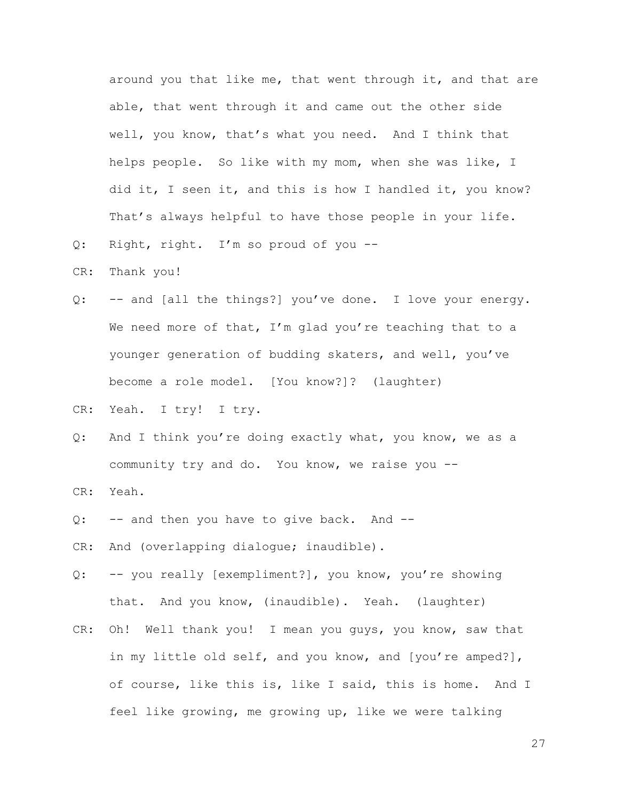around you that like me, that went through it, and that are able, that went through it and came out the other side well, you know, that's what you need. And I think that helps people. So like with my mom, when she was like, I did it, I seen it, and this is how I handled it, you know? That's always helpful to have those people in your life.

- Q: Right, right. I'm so proud of you --
- CR: Thank you!
- Q: -- and [all the things?] you've done. I love your energy. We need more of that, I'm glad you're teaching that to a younger generation of budding skaters, and well, you've become a role model. [You know?]? (laughter)
- CR: Yeah. I try! I try.
- Q: And I think you're doing exactly what, you know, we as a community try and do. You know, we raise you --
- CR: Yeah.
- Q: -- and then you have to give back. And --
- CR: And (overlapping dialogue; inaudible).
- Q: -- you really [exempliment?], you know, you're showing that. And you know, (inaudible). Yeah. (laughter)
- CR: Oh! Well thank you! I mean you guys, you know, saw that in my little old self, and you know, and [you're amped?], of course, like this is, like I said, this is home. And I feel like growing, me growing up, like we were talking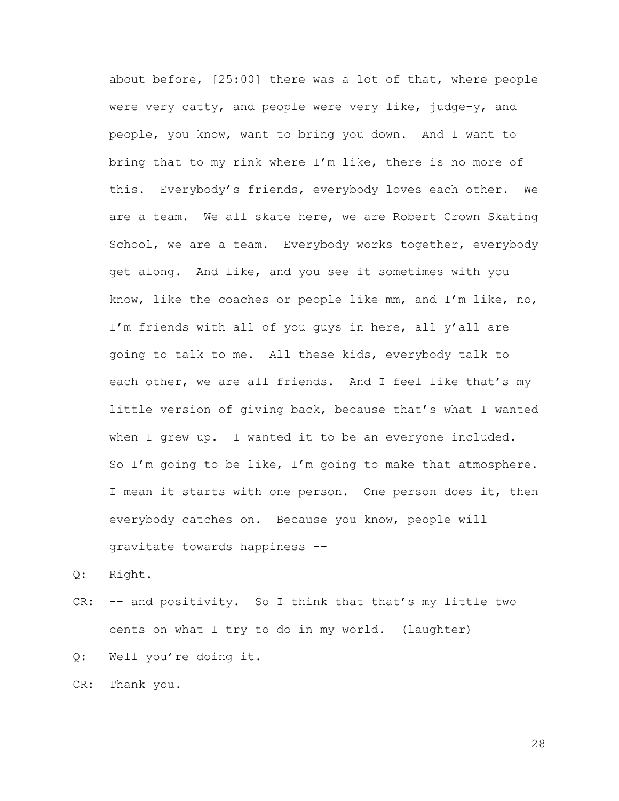about before, [25:00] there was a lot of that, where people were very catty, and people were very like, judge-y, and people, you know, want to bring you down. And I want to bring that to my rink where I'm like, there is no more of this. Everybody's friends, everybody loves each other. We are a team. We all skate here, we are Robert Crown Skating School, we are a team. Everybody works together, everybody get along. And like, and you see it sometimes with you know, like the coaches or people like mm, and I'm like, no, I'm friends with all of you guys in here, all y'all are going to talk to me. All these kids, everybody talk to each other, we are all friends. And I feel like that's my little version of giving back, because that's what I wanted when I grew up. I wanted it to be an everyone included. So I'm going to be like, I'm going to make that atmosphere. I mean it starts with one person. One person does it, then everybody catches on. Because you know, people will gravitate towards happiness --

Q: Right.

- CR: -- and positivity. So I think that that's my little two cents on what I try to do in my world. (laughter)
- Q: Well you're doing it.

CR: Thank you.